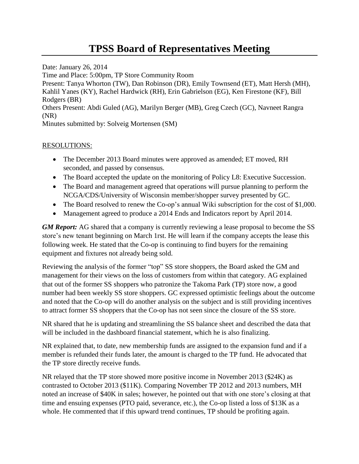## **TPSS Board of Representatives Meeting**

Date: January 26, 2014 Time and Place: 5:00pm, TP Store Community Room Present: Tanya Whorton (TW), Dan Robinson (DR), Emily Townsend (ET), Matt Hersh (MH), Kahlil Yanes (KY), Rachel Hardwick (RH), Erin Gabrielson (EG), Ken Firestone (KF), Bill Rodgers (BR) Others Present: Abdi Guled (AG), Marilyn Berger (MB), Greg Czech (GC), Navneet Rangra (NR) Minutes submitted by: Solveig Mortensen (SM)

## RESOLUTIONS:

- The December 2013 Board minutes were approved as amended; ET moved, RH seconded, and passed by consensus.
- The Board accepted the update on the monitoring of Policy L8: Executive Succession.
- The Board and management agreed that operations will pursue planning to perform the NCGA/CDS/University of Wisconsin member/shopper survey presented by GC.
- The Board resolved to renew the Co-op's annual Wiki subscription for the cost of \$1,000.
- Management agreed to produce a 2014 Ends and Indicators report by April 2014.

*GM Report:* AG shared that a company is currently reviewing a lease proposal to become the SS store's new tenant beginning on March 1rst. He will learn if the company accepts the lease this following week. He stated that the Co-op is continuing to find buyers for the remaining equipment and fixtures not already being sold.

Reviewing the analysis of the former "top" SS store shoppers, the Board asked the GM and management for their views on the loss of customers from within that category. AG explained that out of the former SS shoppers who patronize the Takoma Park (TP) store now, a good number had been weekly SS store shoppers. GC expressed optimistic feelings about the outcome and noted that the Co-op will do another analysis on the subject and is still providing incentives to attract former SS shoppers that the Co-op has not seen since the closure of the SS store.

NR shared that he is updating and streamlining the SS balance sheet and described the data that will be included in the dashboard financial statement, which he is also finalizing.

NR explained that, to date, new membership funds are assigned to the expansion fund and if a member is refunded their funds later, the amount is charged to the TP fund. He advocated that the TP store directly receive funds.

NR relayed that the TP store showed more positive income in November 2013 (\$24K) as contrasted to October 2013 (\$11K). Comparing November TP 2012 and 2013 numbers, MH noted an increase of \$40K in sales; however, he pointed out that with one store's closing at that time and ensuing expenses (PTO paid, severance, etc.), the Co-op listed a loss of \$13K as a whole. He commented that if this upward trend continues, TP should be profiting again.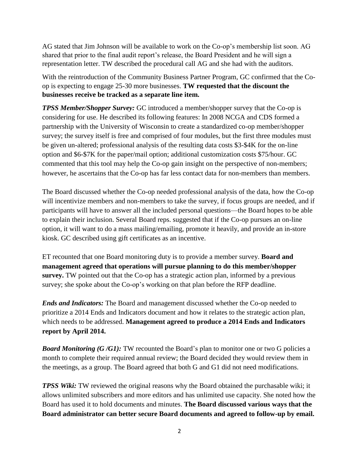AG stated that Jim Johnson will be available to work on the Co-op's membership list soon. AG shared that prior to the final audit report's release, the Board President and he will sign a representation letter. TW described the procedural call AG and she had with the auditors.

With the reintroduction of the Community Business Partner Program, GC confirmed that the Coop is expecting to engage 25-30 more businesses. **TW requested that the discount the businesses receive be tracked as a separate line item.** 

*TPSS Member/Shopper Survey:* GC introduced a member/shopper survey that the Co-op is considering for use. He described its following features: In 2008 NCGA and CDS formed a partnership with the University of Wisconsin to create a standardized co-op member/shopper survey; the survey itself is free and comprised of four modules, but the first three modules must be given un-altered; professional analysis of the resulting data costs \$3-\$4K for the on-line option and \$6-\$7K for the paper/mail option; additional customization costs \$75/hour. GC commented that this tool may help the Co-op gain insight on the perspective of non-members; however, he ascertains that the Co-op has far less contact data for non-members than members.

The Board discussed whether the Co-op needed professional analysis of the data, how the Co-op will incentivize members and non-members to take the survey, if focus groups are needed, and if participants will have to answer all the included personal questions—the Board hopes to be able to explain their inclusion. Several Board reps. suggested that if the Co-op pursues an on-line option, it will want to do a mass mailing/emailing, promote it heavily, and provide an in-store kiosk. GC described using gift certificates as an incentive.

ET recounted that one Board monitoring duty is to provide a member survey. **Board and management agreed that operations will pursue planning to do this member/shopper survey.** TW pointed out that the Co-op has a strategic action plan, informed by a previous survey; she spoke about the Co-op's working on that plan before the RFP deadline.

*Ends and Indicators:* The Board and management discussed whether the Co-op needed to prioritize a 2014 Ends and Indicators document and how it relates to the strategic action plan, which needs to be addressed. **Management agreed to produce a 2014 Ends and Indicators report by April 2014.**

*Board Monitoring (G/G1):* TW recounted the Board's plan to monitor one or two G policies a month to complete their required annual review; the Board decided they would review them in the meetings, as a group. The Board agreed that both G and G1 did not need modifications.

*TPSS Wiki:* TW reviewed the original reasons why the Board obtained the purchasable wiki; it allows unlimited subscribers and more editors and has unlimited use capacity. She noted how the Board has used it to hold documents and minutes. **The Board discussed various ways that the Board administrator can better secure Board documents and agreed to follow-up by email.**